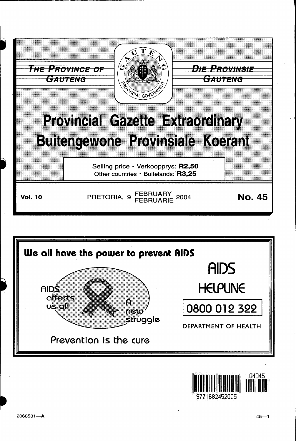



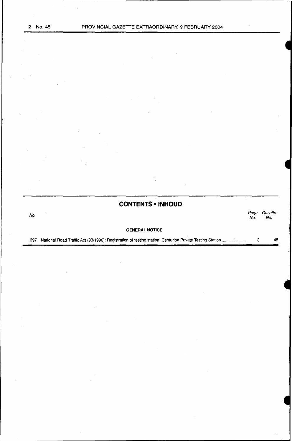**CONTENTS • INHOUD** 

No. Page Gazette No. No.

## **GENERAL NOTICE**

397 National Road Traffic Act (93/1996): Registration of testing station: Centurion Private Testing Station ........... : .......... . 3 45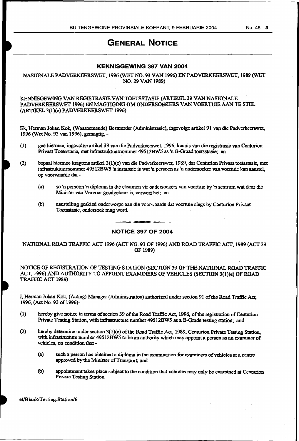# GENERAL NOTICE

# KENNISGEWING 397 VAN 2004

NASIONALE PADVERKEERSWET, 1996 (WET NO. 93 VAN 1996) EN PADVERKEERSWET, 1989 (WET NO. 29 VAN 1989)

### KENNISGEWING VAN REGISTRASIE VAN TOETSSTASIE (ARTIKEL 39 VAN NASIONALE PADVERKEERSWET 1996) EN MAGTIGlNG OM ONDERSOEKERS VAN VOERTUIE AAN TE STEL (AR.TIKEL 3(l)(e) PADVERKEERSWET 1996)

Ek. Herman Johan Kok. (Waamemende) Bestuurder (Administrasic), ingevolge artikel 91 van die Padvcrkeerswet, 1996 (Wet No. 93 van 1996), gemagtig,-

(1) gee hiermee, ingcvolge artikel 39 van die Padverkeerswet, 1996, kennis van die registrasic van Centurion Privaat Toetsstasie, met infrasttuktuurnommer 49Sl2BW5 as 'n B-Graad toetsstasie; en

(2) bepaal biermee kragtens artikel3(1)(e) van die Padverkeerswet, 1989, dat Centurion Privaat toetsstasie, met infrastruktuurnommer 49512BW5 'n instansie is wat 'n persoon as 'n ondersoeker van voertuie lean aanstel, op voorwaarde dat -

- (a) so 'n persoon 'n diploma in die eksamen vir ondersoekcrs van voertuic by 'n senttum wat deur die Minister van Vervoer gocdgekeur is, verwerfhet; en
- (b) aanstelling geskied ondcrworpe aan die voorwaarde dat voertuie slegs by Centurion Privaat Toetsstasic. ondersoek mag word. ·

#### NOTICE 397 OF 2004

NATIONAL ROAD TRAFFIC ACT 1996 (ACT NO. 93 OF 1996) AND ROAD TRAFFIC ACT, 1989 (ACf 29 OF 1989)

NOTICE OF REGISTRATION OF TESTING STATION (SECTION 39 OF THE NATIONAL ROAD TRAFFIC ACT, 1996) AND AUTHORITY TO APPOINT EXAMINERS OF VEHICLES (SECTION 3(1)(e) OF ROAD TRAFFIC ACT 1989}

I, Herman Johan Kok, (Acting) Manager (Administration) authorized under section 91 ofthe Road Traffic Act, 1996, (ActNo. 93 o£1996)-

- {l) hereby give notice in terms of section 39 of the Road Traffic Act, 1996, ofthc reaistration ofCentwion Private Testing Station, with infiastxucture number 49512BWS as a B-Orade testing station; and
- (2) hereby determine under section  $3(1)(e)$  of the Road Traffic Act, 1989, Centurion Private Testing Station, with infrastructure number 49512BW5 to be an authority which may appoint a person as an examiner of vehicles. on condition that •
	- (a) such a person has obtained a diploma in the examination for examiners of vehicles at a centre approved by the Minister of Transport; and
	- (b) appointment takes place subject to the condition that vehicles may only be examined at Cenrurion Private Testing Station

el/Blank/Testing. Station/6